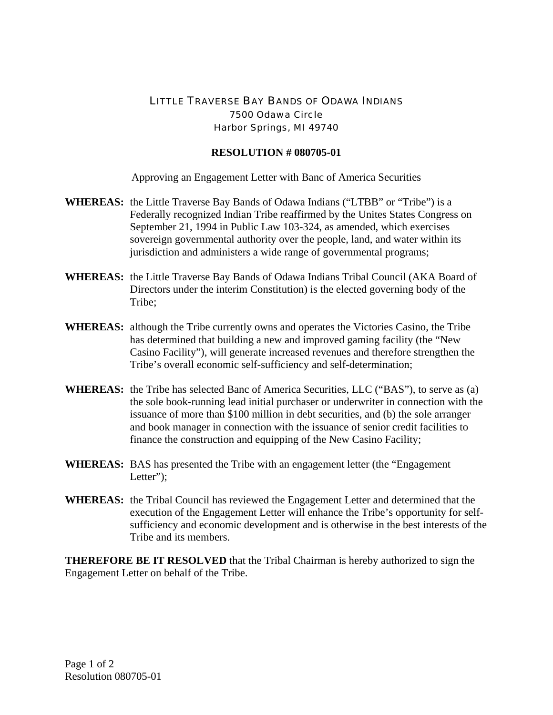## LITTLE TRAVERSE BAY BANDS OF ODAWA INDIANS 7500 Odawa Circle Harbor Springs, MI 49740

## **RESOLUTION # 080705-01**

Approving an Engagement Letter with Banc of America Securities

- **WHEREAS:** the Little Traverse Bay Bands of Odawa Indians ("LTBB" or "Tribe") is a Federally recognized Indian Tribe reaffirmed by the Unites States Congress on September 21, 1994 in Public Law 103-324, as amended, which exercises sovereign governmental authority over the people, land, and water within its jurisdiction and administers a wide range of governmental programs;
- **WHEREAS:** the Little Traverse Bay Bands of Odawa Indians Tribal Council (AKA Board of Directors under the interim Constitution) is the elected governing body of the Tribe;
- **WHEREAS:** although the Tribe currently owns and operates the Victories Casino, the Tribe has determined that building a new and improved gaming facility (the "New Casino Facility"), will generate increased revenues and therefore strengthen the Tribe's overall economic self-sufficiency and self-determination;
- **WHEREAS:** the Tribe has selected Banc of America Securities, LLC ("BAS"), to serve as (a) the sole book-running lead initial purchaser or underwriter in connection with the issuance of more than \$100 million in debt securities, and (b) the sole arranger and book manager in connection with the issuance of senior credit facilities to finance the construction and equipping of the New Casino Facility;
- **WHEREAS:** BAS has presented the Tribe with an engagement letter (the "Engagement Letter":
- **WHEREAS:** the Tribal Council has reviewed the Engagement Letter and determined that the execution of the Engagement Letter will enhance the Tribe's opportunity for selfsufficiency and economic development and is otherwise in the best interests of the Tribe and its members.

**THEREFORE BE IT RESOLVED** that the Tribal Chairman is hereby authorized to sign the Engagement Letter on behalf of the Tribe.